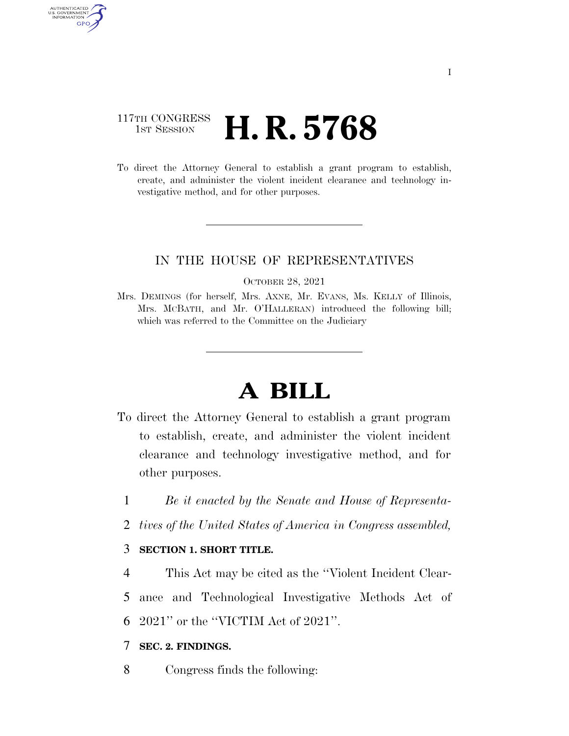## 117TH CONGRESS **1st Session H. R. 5768**

AUTHENTICATED U.S. GOVERNMENT GPO

> To direct the Attorney General to establish a grant program to establish, create, and administer the violent incident clearance and technology investigative method, and for other purposes.

### IN THE HOUSE OF REPRESENTATIVES

OCTOBER 28, 2021

Mrs. DEMINGS (for herself, Mrs. AXNE, Mr. EVANS, Ms. KELLY of Illinois, Mrs. MCBATH, and Mr. O'HALLERAN) introduced the following bill; which was referred to the Committee on the Judiciary

# **A BILL**

- To direct the Attorney General to establish a grant program to establish, create, and administer the violent incident clearance and technology investigative method, and for other purposes.
	- 1 *Be it enacted by the Senate and House of Representa-*
	- 2 *tives of the United States of America in Congress assembled,*

### 3 **SECTION 1. SHORT TITLE.**

4 This Act may be cited as the ''Violent Incident Clear-

5 ance and Technological Investigative Methods Act of

6 2021'' or the ''VICTIM Act of 2021''.

#### 7 **SEC. 2. FINDINGS.**

8 Congress finds the following: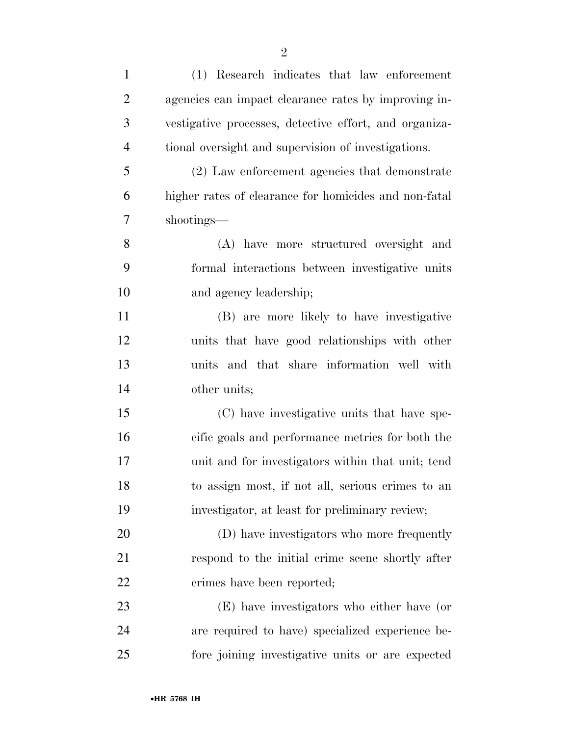| $\mathbf{1}$   | (1) Research indicates that law enforcement            |
|----------------|--------------------------------------------------------|
| $\overline{2}$ | agencies can impact clearance rates by improving in-   |
| 3              | vestigative processes, detective effort, and organiza- |
| $\overline{4}$ | tional oversight and supervision of investigations.    |
| 5              | (2) Law enforcement agencies that demonstrate          |
| 6              | higher rates of clearance for homicides and non-fatal  |
| $\overline{7}$ | shootings—                                             |
| 8              | (A) have more structured oversight and                 |
| 9              | formal interactions between investigative units        |
| 10             | and agency leadership;                                 |
| 11             | (B) are more likely to have investigative              |
| 12             | units that have good relationships with other          |
| 13             | units and that share information well with             |
| 14             | other units;                                           |
| 15             | (C) have investigative units that have spe-            |
| 16             | cific goals and performance metrics for both the       |
| $17\,$         | unit and for investigators within that unit; tend      |
| 18             | to assign most, if not all, serious crimes to an       |
| 19             | investigator, at least for preliminary review;         |
| 20             | (D) have investigators who more frequently             |
| 21             | respond to the initial crime scene shortly after       |
| 22             | crimes have been reported;                             |
| 23             | (E) have investigators who either have (or             |
| 24             | are required to have) specialized experience be-       |
| 25             | fore joining investigative units or are expected       |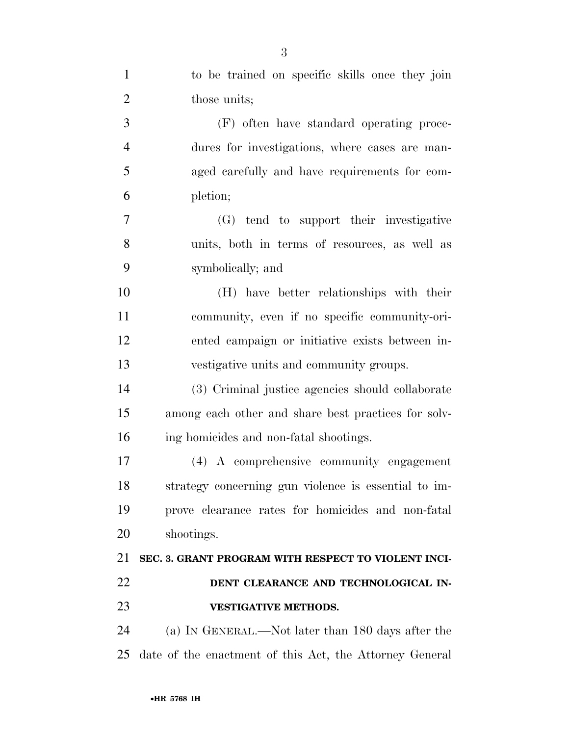| $\mathbf{1}$   | to be trained on specific skills once they join         |
|----------------|---------------------------------------------------------|
| $\overline{2}$ | those units;                                            |
| 3              | (F) often have standard operating proce-                |
| $\overline{4}$ | dures for investigations, where cases are man-          |
| 5              | aged carefully and have requirements for com-           |
| 6              | pletion;                                                |
| 7              | (G) tend to support their investigative                 |
| 8              | units, both in terms of resources, as well as           |
| 9              | symbolically; and                                       |
| 10             | (H) have better relationships with their                |
| 11             | community, even if no specific community-ori-           |
| 12             | ented campaign or initiative exists between in-         |
| 13             | vestigative units and community groups.                 |
| 14             | (3) Criminal justice agencies should collaborate        |
| 15             | among each other and share best practices for solv-     |
| 16             | ing homicides and non-fatal shootings.                  |
| 17             | (4) A comprehensive community engagement                |
| 18             | strategy concerning gun violence is essential to im-    |
| 19             | prove clearance rates for homicides and non-fatal       |
| 20             | shootings.                                              |
| 21             | SEC. 3. GRANT PROGRAM WITH RESPECT TO VIOLENT INCI-     |
| 22             | DENT CLEARANCE AND TECHNOLOGICAL IN-                    |
| 23             | <b>VESTIGATIVE METHODS.</b>                             |
| 24             | (a) IN GENERAL.—Not later than 180 days after the       |
| 25             | date of the enactment of this Act, the Attorney General |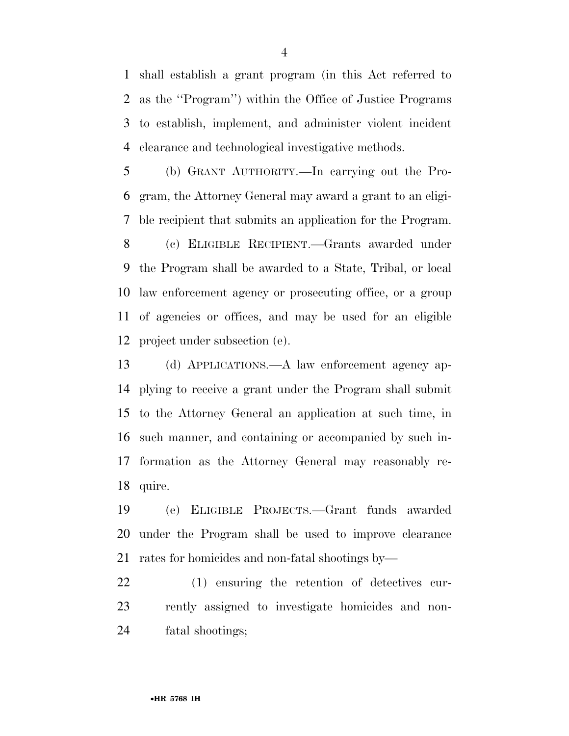shall establish a grant program (in this Act referred to as the ''Program'') within the Office of Justice Programs to establish, implement, and administer violent incident clearance and technological investigative methods.

 (b) GRANT AUTHORITY.—In carrying out the Pro- gram, the Attorney General may award a grant to an eligi-ble recipient that submits an application for the Program.

 (c) ELIGIBLE RECIPIENT.—Grants awarded under the Program shall be awarded to a State, Tribal, or local law enforcement agency or prosecuting office, or a group of agencies or offices, and may be used for an eligible project under subsection (e).

 (d) APPLICATIONS.—A law enforcement agency ap- plying to receive a grant under the Program shall submit to the Attorney General an application at such time, in such manner, and containing or accompanied by such in- formation as the Attorney General may reasonably re-quire.

 (e) ELIGIBLE PROJECTS.—Grant funds awarded under the Program shall be used to improve clearance rates for homicides and non-fatal shootings by—

 (1) ensuring the retention of detectives cur- rently assigned to investigate homicides and non-fatal shootings;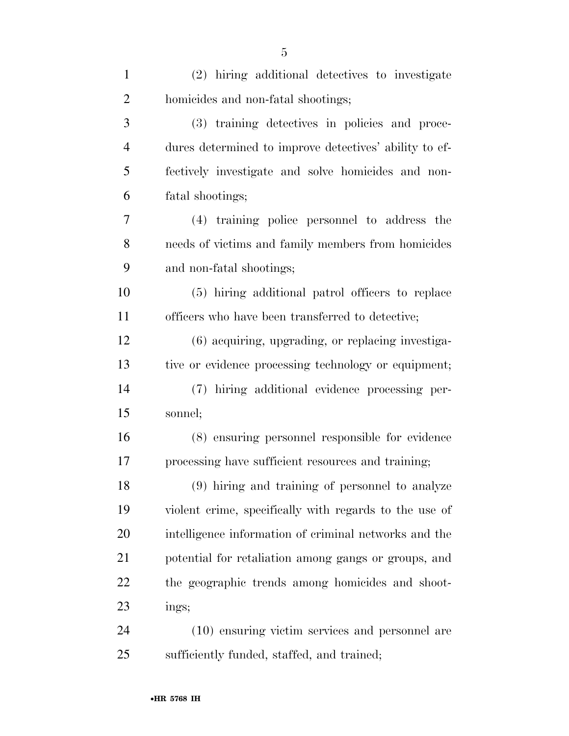| $\mathbf{1}$   | (2) hiring additional detectives to investigate        |
|----------------|--------------------------------------------------------|
| $\overline{2}$ | homicides and non-fatal shootings;                     |
| 3              | (3) training detectives in policies and proce-         |
| $\overline{4}$ | dures determined to improve detectives' ability to ef- |
| 5              | fectively investigate and solve homicides and non-     |
| 6              | fatal shootings;                                       |
| 7              | (4) training police personnel to address the           |
| 8              | needs of victims and family members from homicides     |
| 9              | and non-fatal shootings;                               |
| 10             | (5) hiring additional patrol officers to replace       |
| 11             | officers who have been transferred to detective;       |
| 12             | (6) acquiring, upgrading, or replacing investiga-      |
| 13             | tive or evidence processing technology or equipment;   |
| 14             | (7) hiring additional evidence processing per-         |
| 15             | sonnel;                                                |
| 16             | (8) ensuring personnel responsible for evidence        |
| 17             | processing have sufficient resources and training;     |
| 18             | (9) hiring and training of personnel to analyze        |
| 19             | violent crime, specifically with regards to the use of |
| 20             | intelligence information of criminal networks and the  |
| 21             | potential for retaliation among gangs or groups, and   |
| 22             | the geographic trends among homicides and shoot-       |
| 23             | ings;                                                  |
| 24             | (10) ensuring victim services and personnel are        |
| 25             | sufficiently funded, staffed, and trained;             |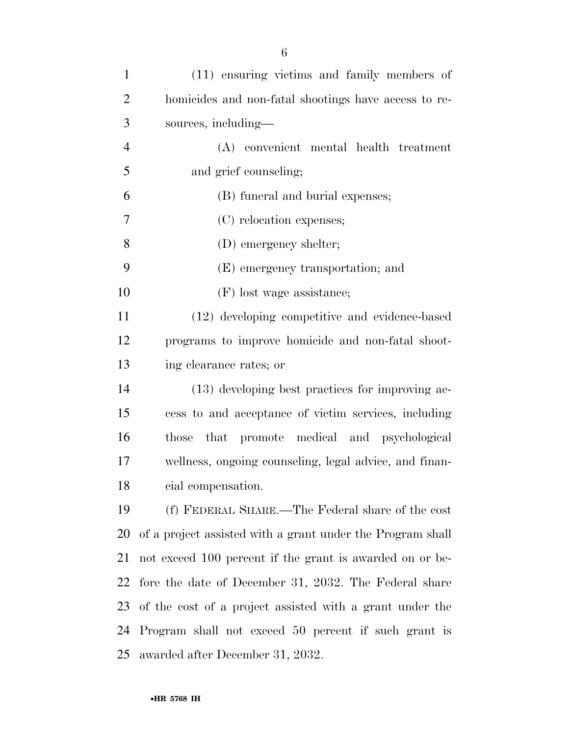| $\mathbf{1}$   | (11) ensuring victims and family members of                |
|----------------|------------------------------------------------------------|
| $\overline{2}$ | homicides and non-fatal shootings have access to re-       |
| 3              | sources, including—                                        |
| $\overline{4}$ | (A) convenient mental health treatment                     |
| 5              | and grief counseling;                                      |
| 6              | (B) funeral and burial expenses;                           |
| 7              | (C) relocation expenses;                                   |
| 8              | (D) emergency shelter;                                     |
| 9              | (E) emergency transportation; and                          |
| 10             | (F) lost wage assistance;                                  |
| 11             | (12) developing competitive and evidence-based             |
| 12             | programs to improve homicide and non-fatal shoot-          |
| 13             | ing clearance rates; or                                    |
| 14             | (13) developing best practices for improving ac-           |
| 15             | cess to and acceptance of victim services, including       |
| 16             | those that promote medical and psychological               |
| 17             | wellness, ongoing counseling, legal advice, and finan-     |
| 18             | cial compensation.                                         |
| 19             | (f) FEDERAL SHARE.—The Federal share of the cost           |
| 20             | of a project assisted with a grant under the Program shall |
| 21             | not exceed 100 percent if the grant is awarded on or be-   |
| 22             | fore the date of December 31, 2032. The Federal share      |
| 23             | of the cost of a project assisted with a grant under the   |
| 24             | Program shall not exceed 50 percent if such grant is       |
| 25             | awarded after December 31, 2032.                           |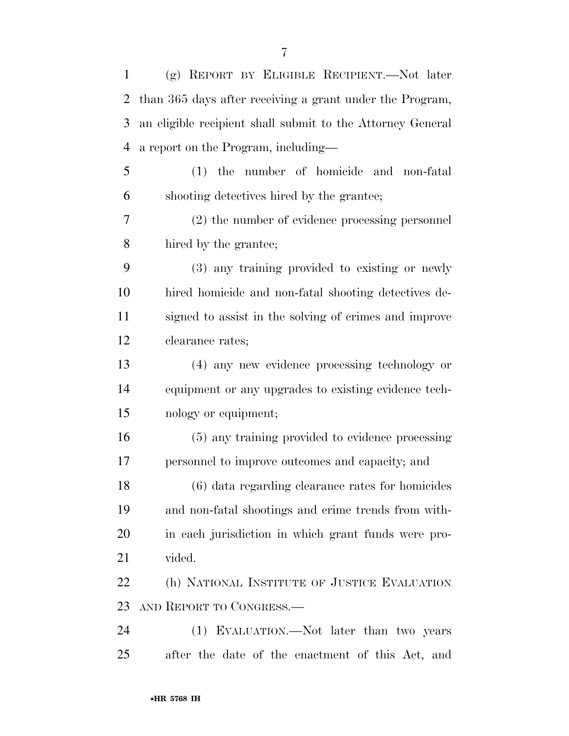| $\mathbf{1}$   | (g) REPORT BY ELIGIBLE RECIPIENT.—Not later                |
|----------------|------------------------------------------------------------|
| $\overline{2}$ | than 365 days after receiving a grant under the Program,   |
| 3              | an eligible recipient shall submit to the Attorney General |
| $\overline{4}$ | a report on the Program, including—                        |
| 5              | (1) the number of homicide and non-fatal                   |
| 6              | shooting detectives hired by the grantee;                  |
| 7              | (2) the number of evidence processing personnel            |
| 8              | hired by the grantee;                                      |
| 9              | (3) any training provided to existing or newly             |
| 10             | hired homicide and non-fatal shooting detectives de-       |
| 11             | signed to assist in the solving of crimes and improve      |
| 12             | clearance rates;                                           |
| 13             | (4) any new evidence processing technology or              |
| 14             | equipment or any upgrades to existing evidence tech-       |
| 15             | nology or equipment;                                       |
| 16             | (5) any training provided to evidence processing           |
| 17             | personnel to improve outcomes and capacity; and            |
| 18             | (6) data regarding clearance rates for homicides           |
| 19             | and non-fatal shootings and crime trends from with-        |
| 20             | in each jurisdiction in which grant funds were pro-        |
| 21             | vided.                                                     |
| 22             | (h) NATIONAL INSTITUTE OF JUSTICE EVALUATION               |
| 23             | AND REPORT TO CONGRESS.—                                   |
| 24             | (1) EVALUATION.—Not later than two years                   |
| 25             | after the date of the enactment of this Act, and           |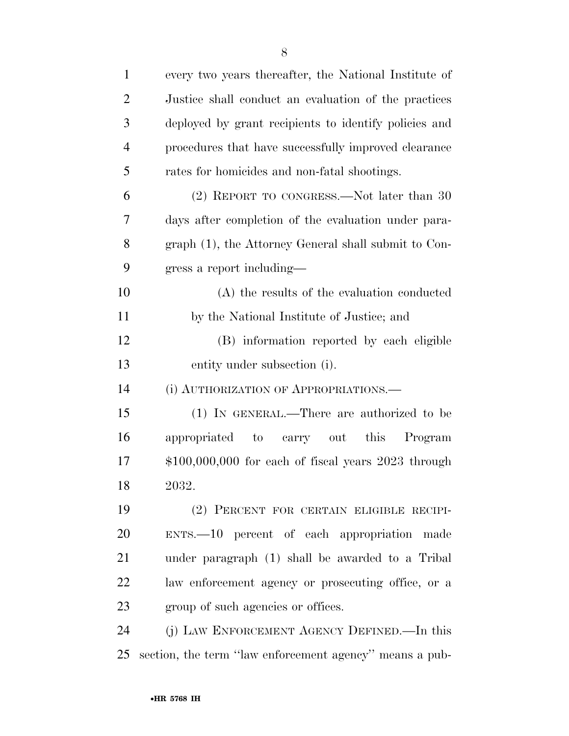| $\mathbf{1}$   | every two years thereafter, the National Institute of   |
|----------------|---------------------------------------------------------|
| $\overline{2}$ | Justice shall conduct an evaluation of the practices    |
| 3              | deployed by grant recipients to identify policies and   |
| $\overline{4}$ | procedures that have successfully improved clearance    |
| 5              | rates for homicides and non-fatal shootings.            |
| 6              | (2) REPORT TO CONGRESS.—Not later than 30               |
| 7              | days after completion of the evaluation under para-     |
| 8              | graph (1), the Attorney General shall submit to Con-    |
| 9              | gress a report including—                               |
| 10             | (A) the results of the evaluation conducted             |
| 11             | by the National Institute of Justice; and               |
| 12             | (B) information reported by each eligible               |
| 13             | entity under subsection (i).                            |
| 14             | (i) AUTHORIZATION OF APPROPRIATIONS.                    |
| 15             | (1) IN GENERAL.—There are authorized to be              |
| 16             | appropriated to carry out this<br>Program               |
| 17             | $$100,000,000$ for each of fiscal years $2023$ through  |
| 18             | 2032.                                                   |
| 19             | (2) PERCENT FOR CERTAIN ELIGIBLE RECIPI-                |
| 20             | ENTS.—10 percent of each appropriation made             |
| 21             | under paragraph (1) shall be awarded to a Tribal        |
| 22             | law enforcement agency or prosecuting office, or a      |
| 23             | group of such agencies or offices.                      |
| 24             | (j) LAW ENFORCEMENT AGENCY DEFINED.—In this             |
| 25             | section, the term "law enforcement agency" means a pub- |